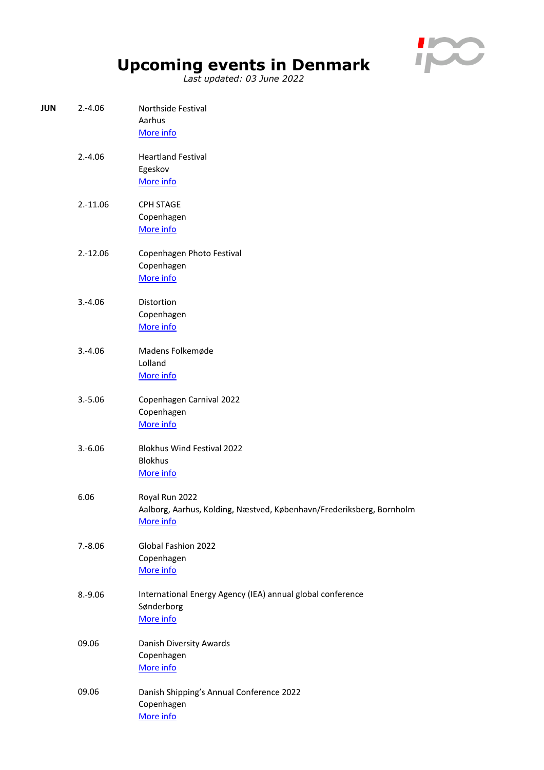

## **Upcoming events in Denmark**

*Last updated: 03 June 2022*

| JUN | $2.-4.06$  | Northside Festival<br>Aarhus<br>More info                                                           |
|-----|------------|-----------------------------------------------------------------------------------------------------|
|     | $2.-4.06$  | <b>Heartland Festival</b><br>Egeskov<br>More info                                                   |
|     | $2.-11.06$ | <b>CPH STAGE</b><br>Copenhagen<br>More info                                                         |
|     | $2.-12.06$ | Copenhagen Photo Festival<br>Copenhagen<br>More info                                                |
|     | $3.-4.06$  | Distortion<br>Copenhagen<br>More info                                                               |
|     | $3.-4.06$  | Madens Folkemøde<br>Lolland<br>More info                                                            |
|     | $3.-5.06$  | Copenhagen Carnival 2022<br>Copenhagen<br>More info                                                 |
|     | $3.-6.06$  | <b>Blokhus Wind Festival 2022</b><br><b>Blokhus</b><br>More info                                    |
|     | 6.06       | Royal Run 2022<br>Aalborg, Aarhus, Kolding, Næstved, København/Frederiksberg, Bornholm<br>More info |
|     | $7.-8.06$  | Global Fashion 2022<br>Copenhagen<br>More info                                                      |
|     | $8.-9.06$  | International Energy Agency (IEA) annual global conference<br>Sønderborg<br>More info               |
|     | 09.06      | Danish Diversity Awards<br>Copenhagen<br>More info                                                  |
|     | 09.06      | Danish Shipping's Annual Conference 2022<br>Copenhagen<br>More info                                 |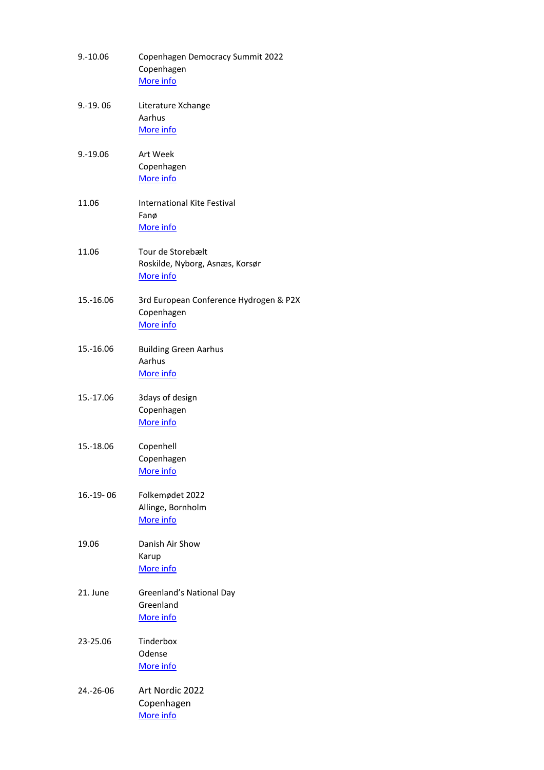| $9.-10.06$     | Copenhagen Democracy Summit 2022<br>Copenhagen<br>More info       |
|----------------|-------------------------------------------------------------------|
| $9.-19.06$     | Literature Xchange<br>Aarhus<br>More info                         |
| $9.-19.06$     | <b>Art Week</b><br>Copenhagen<br>More info                        |
| 11.06          | <b>International Kite Festival</b><br>Fanø<br>More info           |
| 11.06          | Tour de Storebælt<br>Roskilde, Nyborg, Asnæs, Korsør<br>More info |
| 15.-16.06      | 3rd European Conference Hydrogen & P2X<br>Copenhagen<br>More info |
| 15.-16.06      | <b>Building Green Aarhus</b><br>Aarhus<br>More info               |
| 15.-17.06      | 3days of design<br>Copenhagen<br>More info                        |
| 15.-18.06      | Copenhell<br>Copenhagen<br>More info                              |
| $16 - 19 - 06$ | Folkemødet 2022<br>Allinge, Bornholm<br>More info                 |
| 19.06          | Danish Air Show<br>Karup<br>More info                             |
| 21. June       | <b>Greenland's National Day</b><br>Greenland<br>More info         |
| 23-25.06       | Tinderbox<br>Odense<br>More info                                  |
| 24.-26-06      | Art Nordic 2022<br>Copenhagen<br>More info                        |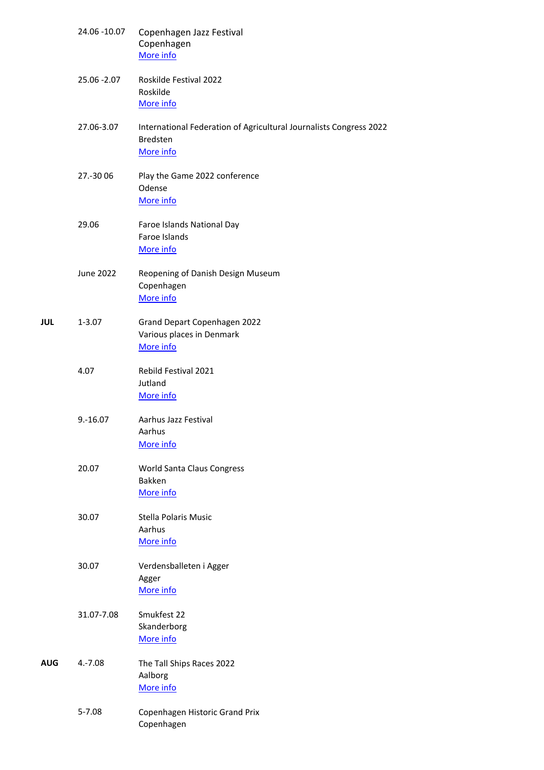|     | 24.06 -10.07     | Copenhagen Jazz Festival<br>Copenhagen<br>More info                                                |
|-----|------------------|----------------------------------------------------------------------------------------------------|
|     | 25.06 - 2.07     | Roskilde Festival 2022<br>Roskilde<br>More info                                                    |
|     | 27.06-3.07       | International Federation of Agricultural Journalists Congress 2022<br><b>Bredsten</b><br>More info |
|     | 27.-30 06        | Play the Game 2022 conference<br>Odense<br>More info                                               |
|     | 29.06            | Faroe Islands National Day<br>Faroe Islands<br>More info                                           |
|     | <b>June 2022</b> | Reopening of Danish Design Museum<br>Copenhagen<br>More info                                       |
| JUL | $1 - 3.07$       | Grand Depart Copenhagen 2022<br>Various places in Denmark<br>More info                             |
|     | 4.07             | Rebild Festival 2021<br>Jutland<br>More info                                                       |
|     | $9.-16.07$       | Aarhus Jazz Festival<br>Aarhus<br>More info                                                        |
|     | 20.07            | <b>World Santa Claus Congress</b><br>Bakken<br>More info                                           |
|     | 30.07            | <b>Stella Polaris Music</b><br>Aarhus<br>More info                                                 |
|     | 30.07            | Verdensballeten i Agger<br>Agger<br>More info                                                      |
|     | 31.07-7.08       | Smukfest 22<br>Skanderborg<br>More info                                                            |
| AUG | $4.-7.08$        | The Tall Ships Races 2022<br>Aalborg<br>More info                                                  |
|     | $5 - 7.08$       | Copenhagen Historic Grand Prix<br>Copenhagen                                                       |
|     |                  |                                                                                                    |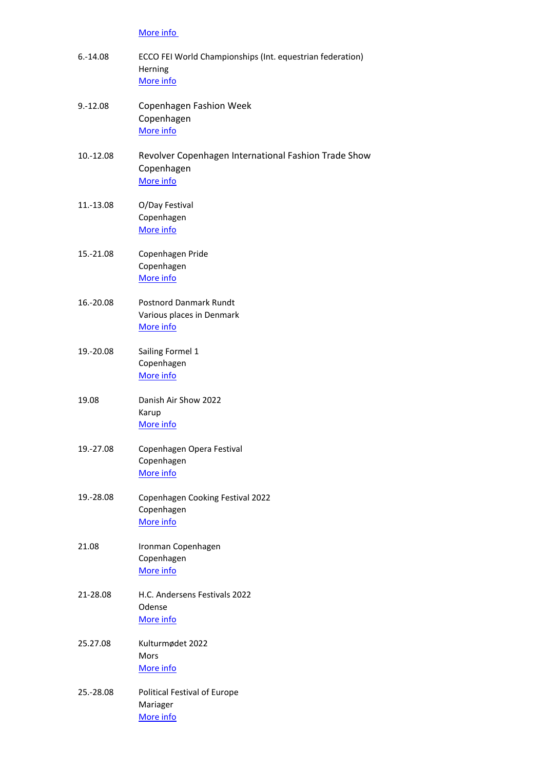## [More info](https://www.chgp.dk/)

| $6.-14.08$ | ECCO FEI World Championships (Int. equestrian federation)<br>Herning<br>More info |
|------------|-----------------------------------------------------------------------------------|
| $9.-12.08$ | Copenhagen Fashion Week<br>Copenhagen<br>More info                                |
| 10.-12.08  | Revolver Copenhagen International Fashion Trade Show<br>Copenhagen<br>More info   |
| 11.-13.08  | O/Day Festival<br>Copenhagen<br>More info                                         |
| 15.-21.08  | Copenhagen Pride<br>Copenhagen<br>More info                                       |
| 16.-20.08  | <b>Postnord Danmark Rundt</b><br>Various places in Denmark<br>More info           |
| 19.-20.08  | Sailing Formel 1<br>Copenhagen<br>More info                                       |
| 19.08      | Danish Air Show 2022<br>Karup<br>More info                                        |
| 19.-27.08  | Copenhagen Opera Festival<br>Copenhagen<br>More info                              |
| 19.-28.08  | Copenhagen Cooking Festival 2022<br>Copenhagen<br>More info                       |
| 21.08      | Ironman Copenhagen<br>Copenhagen<br>More info                                     |
| 21-28.08   | H.C. Andersens Festivals 2022<br>Odense<br>More info                              |
| 25.27.08   | Kulturmødet 2022<br>Mors<br>More info                                             |
| 25.-28.08  | <b>Political Festival of Europe</b><br>Mariager<br>More info                      |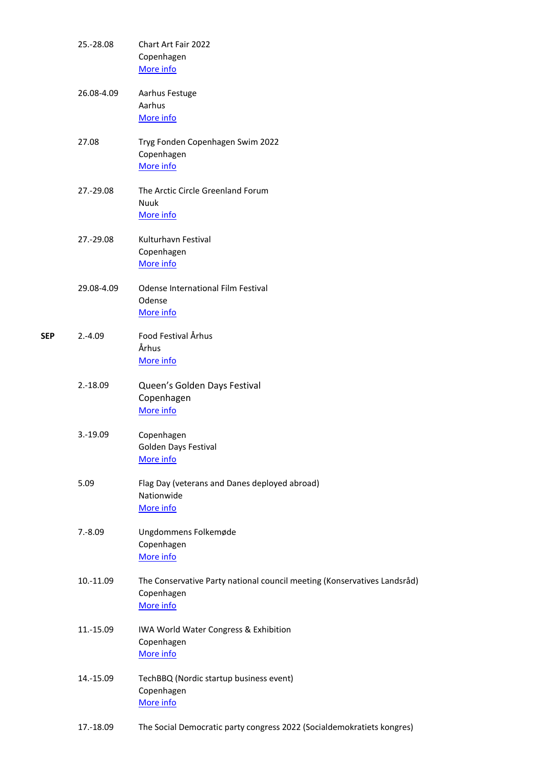|     | 25.-28.08  | Chart Art Fair 2022<br>Copenhagen<br>More info                                                      |
|-----|------------|-----------------------------------------------------------------------------------------------------|
|     | 26.08-4.09 | Aarhus Festuge<br>Aarhus<br>More info                                                               |
|     | 27.08      | Tryg Fonden Copenhagen Swim 2022<br>Copenhagen<br>More info                                         |
|     | 27.-29.08  | The Arctic Circle Greenland Forum<br>Nuuk<br>More info                                              |
|     | 27.-29.08  | Kulturhavn Festival<br>Copenhagen<br>More info                                                      |
|     | 29.08-4.09 | <b>Odense International Film Festival</b><br>Odense<br>More info                                    |
| SEP | $2.-4.09$  | Food Festival Århus<br>Århus<br>More info                                                           |
|     | $2.-18.09$ | Queen's Golden Days Festival<br>Copenhagen<br>More info                                             |
|     | $3.-19.09$ | Copenhagen<br>Golden Days Festival<br>More info                                                     |
|     | 5.09       | Flag Day (veterans and Danes deployed abroad)<br>Nationwide<br>More info                            |
|     | $7.-8.09$  | Ungdommens Folkemøde<br>Copenhagen<br>More info                                                     |
|     | 10.-11.09  | The Conservative Party national council meeting (Konservatives Landsråd)<br>Copenhagen<br>More info |
|     | 11.-15.09  | IWA World Water Congress & Exhibition<br>Copenhagen<br>More info                                    |
|     | 14.-15.09  | TechBBQ (Nordic startup business event)<br>Copenhagen<br>More info                                  |
|     | 17.-18.09  | The Social Democratic party congress 2022 (Socialdemokratiets kongres)                              |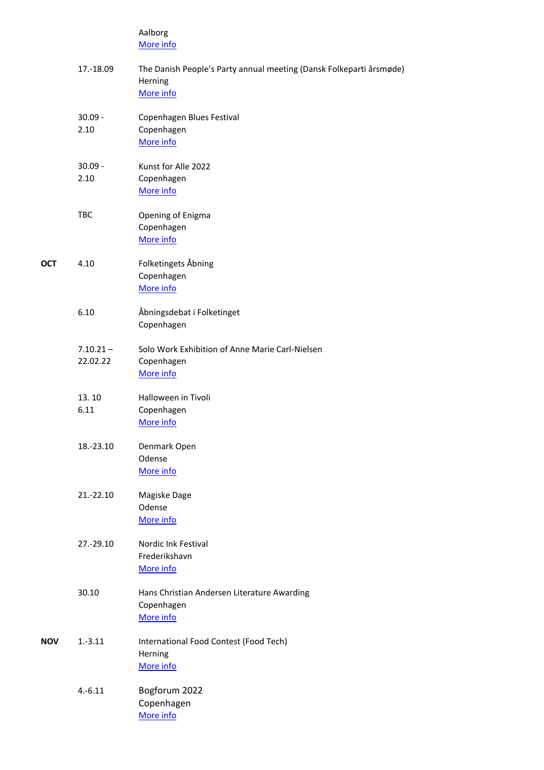|            |                         | Aalborg<br>More info                                                                        |
|------------|-------------------------|---------------------------------------------------------------------------------------------|
|            | 17.-18.09               | The Danish People's Party annual meeting (Dansk Folkeparti årsmøde)<br>Herning<br>More info |
|            | $30.09 -$<br>2.10       | Copenhagen Blues Festival<br>Copenhagen<br>More info                                        |
|            | $30.09 -$<br>2.10       | Kunst for Alle 2022<br>Copenhagen<br>More info                                              |
|            | <b>TBC</b>              | Opening of Enigma<br>Copenhagen<br>More info                                                |
| OCT        | 4.10                    | Folketingets Åbning<br>Copenhagen<br>More info                                              |
|            | 6.10                    | Åbningsdebat i Folketinget<br>Copenhagen                                                    |
|            | $7.10.21 -$<br>22.02.22 | Solo Work Exhibition of Anne Marie Carl-Nielsen<br>Copenhagen<br>More info                  |
|            | 13.10<br>6.11           | Halloween in Tivoli<br>Copenhagen<br>More info                                              |
|            | 18.-23.10               | Denmark Open<br>Odense<br>More info                                                         |
|            | 21.-22.10               | Magiske Dage<br>Odense<br>More info                                                         |
|            | 27.-29.10               | <b>Nordic Ink Festival</b><br>Frederikshavn<br>More info                                    |
|            | 30.10                   | Hans Christian Andersen Literature Awarding<br>Copenhagen<br>More info                      |
| <b>NOV</b> | $1.-3.11$               | International Food Contest (Food Tech)<br>Herning<br>More info                              |
|            | $4.-6.11$               | Bogforum 2022<br>Copenhagen<br>More info                                                    |
|            |                         |                                                                                             |